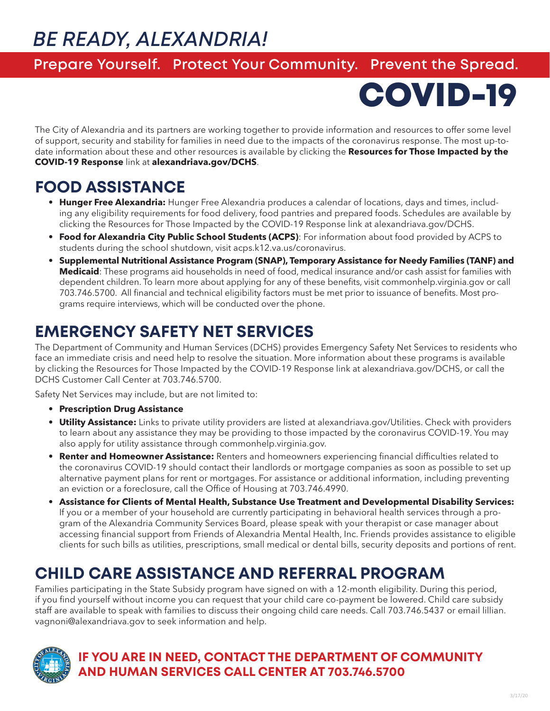# *BE READY, ALEXANDRIA!*

#### **Prepare Yourself. Protect Your Community. Prevent the Spread.**

COVID-19

The City of Alexandria and its partners are working together to provide information and resources to offer some level of support, security and stability for families in need due to the impacts of the coronavirus response. The most up-todate information about these and other resources is available by clicking the **Resources for Those Impacted by the COVID-19 Response** link at **alexandriava.gov/DCHS**.

## **FOOD ASSISTANCE**

- **• Hunger Free Alexandria:** Hunger Free Alexandria produces a calendar of locations, days and times, including any eligibility requirements for food delivery, food pantries and prepared foods. Schedules are available by clicking the Resources for Those Impacted by the COVID-19 Response link at alexandriava.gov/DCHS.
- **• Food for Alexandria City Public School Students (ACPS)**: For information about food provided by ACPS to students during the school shutdown, visit acps.k12.va.us/coronavirus.
- **• Supplemental Nutritional Assistance Program (SNAP), Temporary Assistance for Needy Families (TANF) and Medicaid**: These programs aid households in need of food, medical insurance and/or cash assist for families with dependent children. To learn more about applying for any of these benefits, visit commonhelp.virginia.gov or call 703.746.5700. All financial and technical eligibility factors must be met prior to issuance of benefits. Most programs require interviews, which will be conducted over the phone.

# **EMERGENCY SAFETY NET SERVICES**

The Department of Community and Human Services (DCHS) provides Emergency Safety Net Services to residents who face an immediate crisis and need help to resolve the situation. More information about these programs is available by clicking the Resources for Those Impacted by the COVID-19 Response link at alexandriava.gov/DCHS, or call the DCHS Customer Call Center at 703.746.5700.

Safety Net Services may include, but are not limited to:

- **• Prescription Drug Assistance**
- **• Utility Assistance:** Links to private utility providers are listed at alexandriava.gov/Utilities. Check with providers to learn about any assistance they may be providing to those impacted by the coronavirus COVID-19. You may also apply for utility assistance through commonhelp.virginia.gov.
- **• Renter and Homeowner Assistance:** Renters and homeowners experiencing financial difficulties related to the coronavirus COVID-19 should contact their landlords or mortgage companies as soon as possible to set up alternative payment plans for rent or mortgages. For assistance or additional information, including preventing an eviction or a foreclosure, call the Office of Housing at 703.746.4990.
- **• Assistance for Clients of Mental Health, Substance Use Treatment and Developmental Disability Services:**  If you or a member of your household are currently participating in behavioral health services through a program of the Alexandria Community Services Board, please speak with your therapist or case manager about accessing financial support from Friends of Alexandria Mental Health, Inc. Friends provides assistance to eligible clients for such bills as utilities, prescriptions, small medical or dental bills, security deposits and portions of rent.

## **CHILD CARE ASSISTANCE AND REFERRAL PROGRAM**

Families participating in the State Subsidy program have signed on with a 12-month eligibility. During this period, if you find yourself without income you can request that your child care co-payment be lowered. Child care subsidy staff are available to speak with families to discuss their ongoing child care needs. Call 703.746.5437 or email lillian. vagnoni@alexandriava.gov to seek information and help.



#### **IF YOU ARE IN NEED, CONTACT THE DEPARTMENT OF COMMUNITY AND HUMAN SERVICES CALL CENTER AT 703.746.5700**